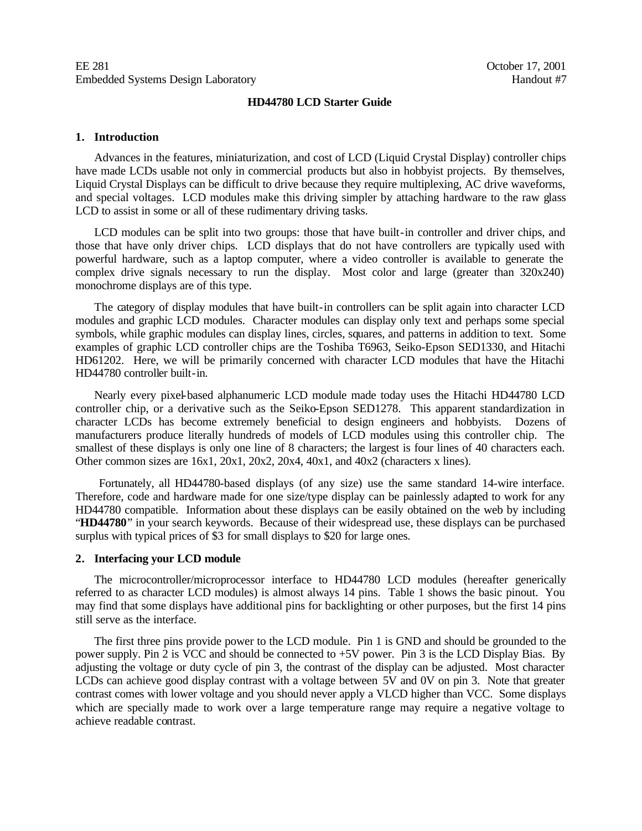#### **HD44780 LCD Starter Guide**

#### **1. Introduction**

Advances in the features, miniaturization, and cost of LCD (Liquid Crystal Display) controller chips have made LCDs usable not only in commercial products but also in hobbyist projects. By themselves, Liquid Crystal Displays can be difficult to drive because they require multiplexing, AC drive waveforms, and special voltages. LCD modules make this driving simpler by attaching hardware to the raw glass LCD to assist in some or all of these rudimentary driving tasks.

LCD modules can be split into two groups: those that have built-in controller and driver chips, and those that have only driver chips. LCD displays that do not have controllers are typically used with powerful hardware, such as a laptop computer, where a video controller is available to generate the complex drive signals necessary to run the display. Most color and large (greater than 320x240) monochrome displays are of this type.

The category of display modules that have built-in controllers can be split again into character LCD modules and graphic LCD modules. Character modules can display only text and perhaps some special symbols, while graphic modules can display lines, circles, squares, and patterns in addition to text. Some examples of graphic LCD controller chips are the Toshiba T6963, Seiko-Epson SED1330, and Hitachi HD61202. Here, we will be primarily concerned with character LCD modules that have the Hitachi HD44780 controller built-in.

Nearly every pixel-based alphanumeric LCD module made today uses the Hitachi HD44780 LCD controller chip, or a derivative such as the Seiko-Epson SED1278. This apparent standardization in character LCDs has become extremely beneficial to design engineers and hobbyists. Dozens of manufacturers produce literally hundreds of models of LCD modules using this controller chip. The smallest of these displays is only one line of 8 characters; the largest is four lines of 40 characters each. Other common sizes are 16x1, 20x1, 20x2, 20x4, 40x1, and 40x2 (characters x lines).

 Fortunately, all HD44780-based displays (of any size) use the same standard 14-wire interface. Therefore, code and hardware made for one size/type display can be painlessly adapted to work for any HD44780 compatible. Information about these displays can be easily obtained on the web by including "**HD44780**" in your search keywords. Because of their widespread use, these displays can be purchased surplus with typical prices of \$3 for small displays to \$20 for large ones.

#### **2. Interfacing your LCD module**

The microcontroller/microprocessor interface to HD44780 LCD modules (hereafter generically referred to as character LCD modules) is almost always 14 pins. Table 1 shows the basic pinout. You may find that some displays have additional pins for backlighting or other purposes, but the first 14 pins still serve as the interface.

The first three pins provide power to the LCD module. Pin 1 is GND and should be grounded to the power supply. Pin 2 is VCC and should be connected to +5V power. Pin 3 is the LCD Display Bias. By adjusting the voltage or duty cycle of pin 3, the contrast of the display can be adjusted. Most character LCDs can achieve good display contrast with a voltage between 5V and 0V on pin 3. Note that greater contrast comes with lower voltage and you should never apply a VLCD higher than VCC. Some displays which are specially made to work over a large temperature range may require a negative voltage to achieve readable contrast.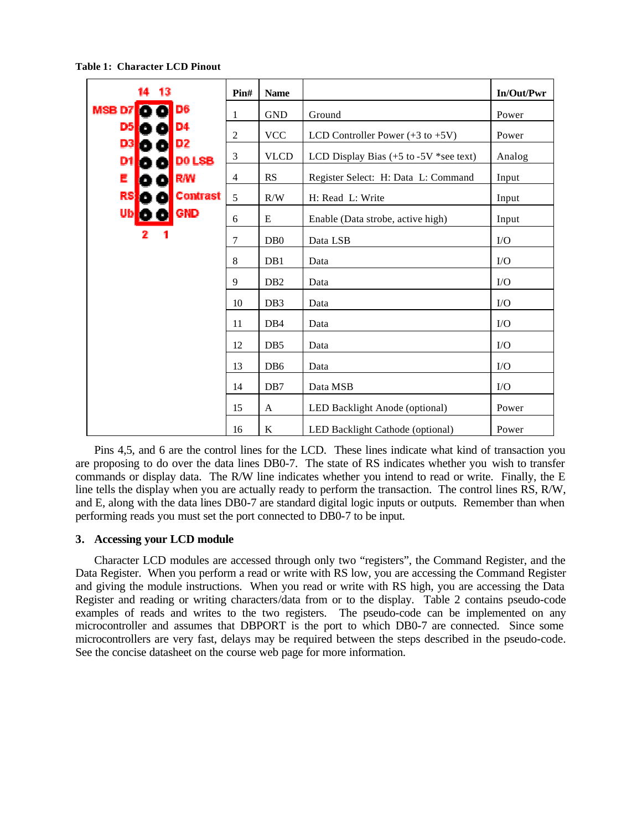14 13 **Pin# Name In/Out/Pwr MSBD7**  $\bullet$   $\bullet$   $\circ$ 1 GND Ground Power D<sub>5</sub> D4 2 | VCC | LCD Controller Power  $(+3 \text{ to } +5 \text{V})$  | Power D<sub>3</sub> D<sub>2</sub>  $\frac{3}{100}$  VLCD LCD Display Bias (+5 to -5V \*see text) Analog D<sub>1</sub> D0 LSB **R/W** 4 RS Register Select: H: Data L: Command Input Е **RS Contrast**  $5$  R/W H: Read L: Write Input **GND** Ub 6 | E | Enable (Data strobe, active high) | Input  $7 \quad |$  DB0  $|$  Data LSB  $|$  I/O 8 | DB1 | Data | I/O 9 | DB2 | Data | I/O 10 | DB3 | Data | I/O 11 | DB4 | Data | I/O  $12$  DB5 Data  $1/0$  $13$  DB6 Data  $1/0$ 14 DB7 Data MSB I/O 15 A LED Backlight Anode (optional) Power 16 K LED Backlight Cathode (optional) Power

**Table 1: Character LCD Pinout**

Pins 4,5, and 6 are the control lines for the LCD. These lines indicate what kind of transaction you are proposing to do over the data lines DB0-7. The state of RS indicates whether you wish to transfer commands or display data. The R/W line indicates whether you intend to read or write. Finally, the E line tells the display when you are actually ready to perform the transaction. The control lines RS, R/W, and E, along with the data lines DB0-7 are standard digital logic inputs or outputs. Remember than when performing reads you must set the port connected to DB0-7 to be input.

## **3. Accessing your LCD module**

Character LCD modules are accessed through only two "registers", the Command Register, and the Data Register. When you perform a read or write with RS low, you are accessing the Command Register and giving the module instructions. When you read or write with RS high, you are accessing the Data Register and reading or writing characters/data from or to the display. Table 2 contains pseudo-code examples of reads and writes to the two registers. The pseudo-code can be implemented on any microcontroller and assumes that DBPORT is the port to which DB0-7 are connected. Since some microcontrollers are very fast, delays may be required between the steps described in the pseudo-code. See the concise datasheet on the course web page for more information.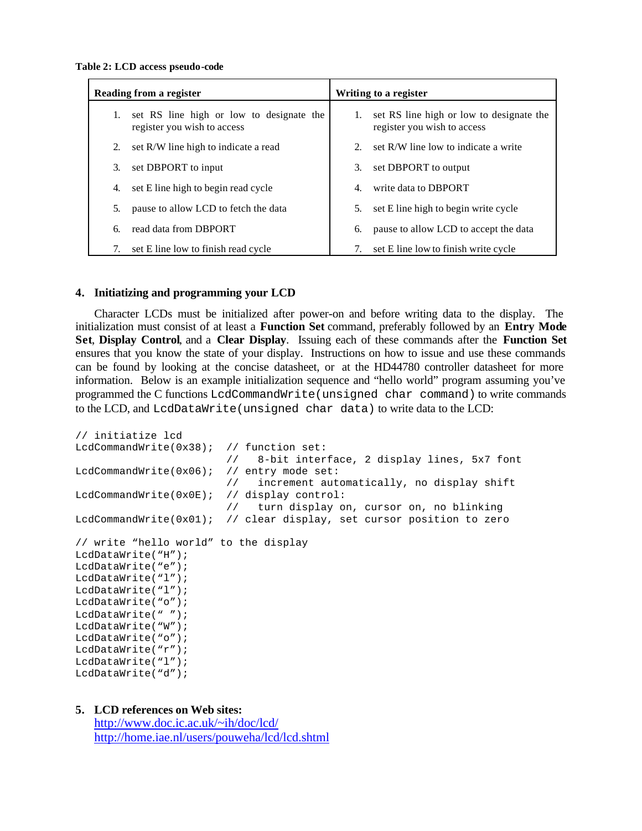**Table 2: LCD access pseudo-code**

|    | Reading from a register                                                 | Writing to a register |                                                                         |  |  |  |
|----|-------------------------------------------------------------------------|-----------------------|-------------------------------------------------------------------------|--|--|--|
| 1. | set RS line high or low to designate the<br>register you wish to access | 1.                    | set RS line high or low to designate the<br>register you wish to access |  |  |  |
| 2. | set R/W line high to indicate a read                                    | $2^{2}$               | set R/W line low to indicate a write                                    |  |  |  |
| 3. | set DBPORT to input                                                     | 3.                    | set DBPORT to output                                                    |  |  |  |
| 4. | set E line high to begin read cycle                                     | 4.                    | write data to DBPORT                                                    |  |  |  |
| 5. | pause to allow LCD to fetch the data                                    | 5.                    | set E line high to begin write cycle                                    |  |  |  |
| 6. | read data from DBPORT                                                   | 6.                    | pause to allow LCD to accept the data                                   |  |  |  |
| 7. | set E line low to finish read cycle                                     | 7.                    | set E line low to finish write cycle                                    |  |  |  |

## **4. Initiatizing and programming your LCD**

Character LCDs must be initialized after power-on and before writing data to the display. The initialization must consist of at least a **Function Set** command, preferably followed by an **Entry Mode Set**, **Display Control**, and a **Clear Display**. Issuing each of these commands after the **Function Set** ensures that you know the state of your display. Instructions on how to issue and use these commands can be found by looking at the concise datasheet, or at the HD44780 controller datasheet for more information. Below is an example initialization sequence and "hello world" program assuming you've programmed the C functions LcdCommandWrite(unsigned char command) to write commands to the LCD, and LcdDataWrite(unsigned char data) to write data to the LCD:

```
// initiatize lcd
LcdCommandWrite(0x38); // function set:
                        // 8-bit interface, 2 display lines, 5x7 font
LcdCommandWrite(0x06); // entry mode set:
                        // increment automatically, no display shift
LcdCommandWrite(0x0E); // display control:
                       // turn display on, cursor on, no blinking
LcdCommandWrite(0x01); // clear display, set cursor position to zero
// write "hello world" to the display
LcdDataWrite("H");
LcdDataWrite("e");
LcdDataWrite("l");
LcdDataWrite("l");
LcdDataWrite("o");
LcdDataWrite(" ");
LcdDataWrite("W");
LcdDataWrite("o");
LcdDataWrite("r");
LcdDataWrite("l");
LcdDataWrite("d");
```
## **5. LCD references on Web sites:**

http://www.doc.ic.ac.uk/~ih/doc/lcd/ http://home.iae.nl/users/pouweha/lcd/lcd.shtml